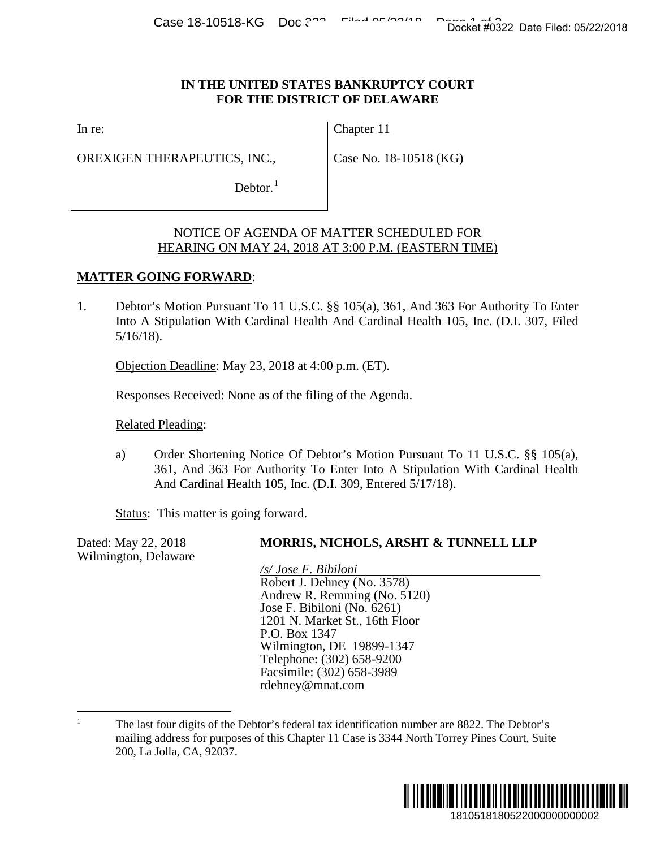## **IN THE UNITED STATES BANKRUPTCY COURT FOR THE DISTRICT OF DELAWARE**

In re:

OREXIGEN THERAPEUTICS, INC.,

Chapter 11

Case No. 18-10518 (KG)

Debtor. $<sup>1</sup>$  $<sup>1</sup>$  $<sup>1</sup>$ </sup>

## NOTICE OF AGENDA OF MATTER SCHEDULED FOR HEARING ON MAY 24, 2018 AT 3:00 P.M. (EASTERN TIME)

## **MATTER GOING FORWARD**:

1. Debtor's Motion Pursuant To 11 U.S.C. §§ 105(a), 361, And 363 For Authority To Enter Into A Stipulation With Cardinal Health And Cardinal Health 105, Inc. (D.I. 307, Filed 5/16/18).

Objection Deadline: May 23, 2018 at 4:00 p.m. (ET).

Responses Received: None as of the filing of the Agenda.

Related Pleading:

a) Order Shortening Notice Of Debtor's Motion Pursuant To 11 U.S.C. §§ 105(a), 361, And 363 For Authority To Enter Into A Stipulation With Cardinal Health And Cardinal Health 105, Inc. (D.I. 309, Entered 5/17/18).

Status: This matter is going forward.

Dated: May 22, 2018 **MORRIS, NICHOLS, ARSHT & TUNNELL LLP** Wilmington, Delaware */s/ Jose F. Bibiloni* Robert J. Dehney (No. 3578) Andrew R. Remming (No. 5120) Jose F. Bibiloni (No. 6261) 1201 N. Market St., 16th Floor P.O. Box 1347 Wilmington, DE 19899-1347 Telephone: (302) 658-9200 Facsimile: (302) 658-3989 rdehney@mnat.com 1810518180522000000000002 Docket #0322 Date Filed: 05/22/2018

<span id="page-0-0"></span><sup>&</sup>lt;sup>1</sup> The last four digits of the Debtor's federal tax identification number are 8822. The Debtor's mailing address for purposes of this Chapter 11 Case is 3344 North Torrey Pines Court, Suite 200, La Jolla, CA, 92037.